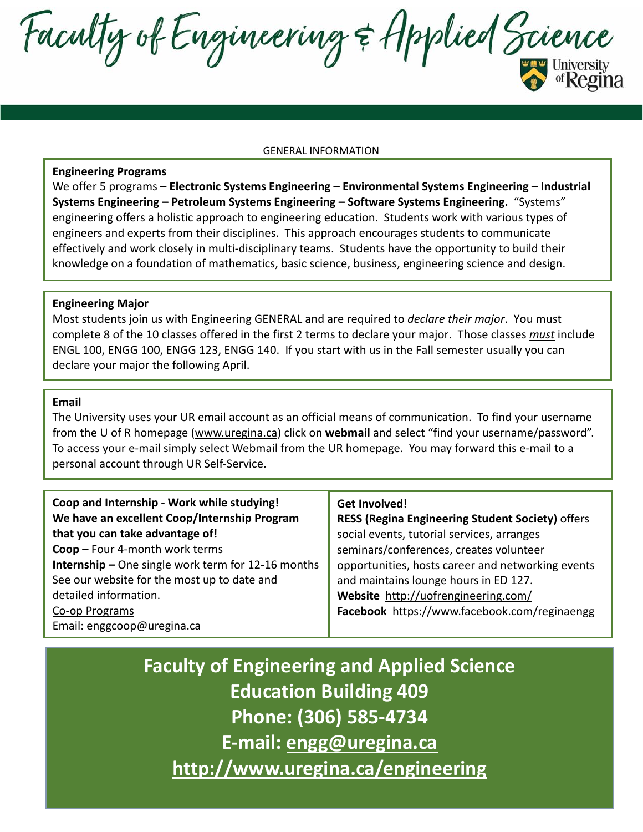Faculty of Engineering & Applied Science

#### GENERAL INFORMATION

#### **Engineering Programs**

We offer 5 programs – **Electronic Systems Engineering – Environmental Systems Engineering – Industrial Systems Engineering – Petroleum Systems Engineering – Software Systems Engineering.** "Systems" engineering offers a holistic approach to engineering education. Students work with various types of engineers and experts from their disciplines. This approach encourages students to communicate effectively and work closely in multi-disciplinary teams. Students have the opportunity to build their knowledge on a foundation of mathematics, basic science, business, engineering science and design.

#### **Engineering Major**

Most students join us with Engineering GENERAL and are required to *declare their major*. You must complete 8 of the 10 classes offered in the first 2 terms to declare your major. Those classes *must* include ENGL 100, ENGG 100, ENGG 123, ENGG 140. If you start with us in the Fall semester usually you can declare your major the following April.

### **Email**

The University uses your UR email account as an official means of communication. To find your username from the U of R homepage [\(www.uregina.ca\)](http://www.uregina.ca/) click on **webmail** and select "find your username/password". To access your e-mail simply select Webmail from the UR homepage. You may forward this e-mail to a personal account through UR Self-Service.

| Coop and Internship - Work while studying!<br>We have an excellent Coop/Internship Program | Get Involved!<br><b>RESS (Regina Engineering Student Society) offers</b> |
|--------------------------------------------------------------------------------------------|--------------------------------------------------------------------------|
| that you can take advantage of!                                                            | social events, tutorial services, arranges                               |
| Coop - Four 4-month work terms                                                             | seminars/conferences, creates volunteer                                  |
| <b>Internship - One single work term for 12-16 months</b>                                  | opportunities, hosts career and networking events                        |
| See our website for the most up to date and                                                | and maintains lounge hours in ED 127.                                    |
| detailed information.                                                                      | Website http://uofrengineering.com/                                      |
| Co-op Programs                                                                             | Facebook https://www.facebook.com/reginaengg                             |
| Email: enggcoop@uregina.ca                                                                 |                                                                          |

**Faculty of Engineering and Applied Science Education Building 409 Phone: (306) 585-4734 E-mail: [engg@uregina.ca](mailto:engg@uregina.ca) <http://www.uregina.ca/engineering>**